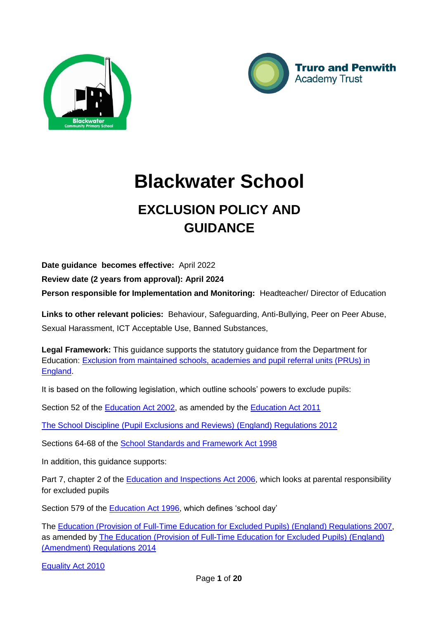



# **Blackwater School**

# **EXCLUSION POLICY AND GUIDANCE**

**Date guidance becomes effective:** April 2022

**Review date (2 years from approval): April 2024**

**Person responsible for Implementation and Monitoring:** Headteacher/ Director of Education

**Links to other relevant policies:** Behaviour, Safeguarding, Anti-Bullying, Peer on Peer Abuse, Sexual Harassment, ICT Acceptable Use, Banned Substances,

**Legal Framework:** This guidance supports the statutory guidance from the Department for Education: [Exclusion from maintained schools, academies and pupil referral units \(PRUs\) in](https://www.gov.uk/government/publications/school-exclusion)  [England.](https://www.gov.uk/government/publications/school-exclusion)

It is based on the following legislation, which outline schools' powers to exclude pupils:

Section 52 of the [Education Act 2002,](http://www.legislation.gov.uk/ukpga/2002/32/section/52) as amended by the [Education Act 2011](http://www.legislation.gov.uk/ukpga/2011/21/contents/enacted)

[The School Discipline \(Pupil Exclusions and Reviews\) \(England\) Regulations 2012](http://www.legislation.gov.uk/uksi/2012/1033/made)

Sections 64-68 of the [School Standards and Framework Act 1998](http://www.legislation.gov.uk/ukpga/1998/31)

In addition, this guidance supports:

Part 7, chapter 2 of the [Education and Inspections Act 2006,](http://www.legislation.gov.uk/ukpga/2006/40/part/7/chapter/2) which looks at parental responsibility for excluded pupils

Section 579 of the [Education Act 1996,](http://www.legislation.gov.uk/ukpga/1996/56/section/579) which defines 'school day'

The [Education \(Provision of Full-Time Education for Excluded Pupils\) \(England\) Regulations 2007,](http://www.legislation.gov.uk/uksi/2007/1870/contents/made) as amended by The Education (Provision of [Full-Time Education for Excluded Pupils\) \(England\)](http://www.legislation.gov.uk/uksi/2014/3216/contents/made)  [\(Amendment\) Regulations 2014](http://www.legislation.gov.uk/uksi/2014/3216/contents/made)

Equality Act 2010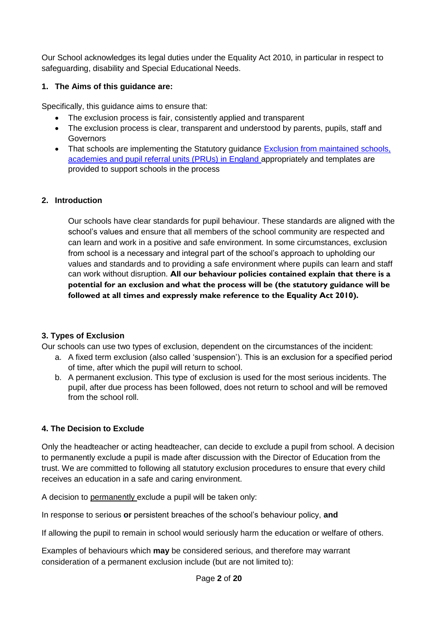Our School acknowledges its legal duties under the Equality Act 2010, in particular in respect to safeguarding, disability and Special Educational Needs.

#### **1. The Aims of this guidance are:**

Specifically, this guidance aims to ensure that:

- The exclusion process is fair, consistently applied and transparent
- The exclusion process is clear, transparent and understood by parents, pupils, staff and Governors
- That schools are implementing the Statutory guidance Exclusion from maintained schools, [academies and pupil referral units \(PRUs\) in England](https://www.gov.uk/government/publications/school-exclusion) appropriately and templates are provided to support schools in the process

#### **2. Introduction**

Our schools have clear standards for pupil behaviour. These standards are aligned with the school's values and ensure that all members of the school community are respected and can learn and work in a positive and safe environment. In some circumstances, exclusion from school is a necessary and integral part of the school's approach to upholding our values and standards and to providing a safe environment where pupils can learn and staff can work without disruption. **All our behaviour policies contained explain that there is a potential for an exclusion and what the process will be (the statutory guidance will be followed at all times and expressly make reference to the Equality Act 2010).**

#### **3. Types of Exclusion**

Our schools can use two types of exclusion, dependent on the circumstances of the incident:

- a. A fixed term exclusion (also called 'suspension'). This is an exclusion for a specified period of time, after which the pupil will return to school.
- b. A permanent exclusion. This type of exclusion is used for the most serious incidents. The pupil, after due process has been followed, does not return to school and will be removed from the school roll.

#### **4. The Decision to Exclude**

Only the headteacher or acting headteacher, can decide to exclude a pupil from school. A decision to permanently exclude a pupil is made after discussion with the Director of Education from the trust. We are committed to following all statutory exclusion procedures to ensure that every child receives an education in a safe and caring environment.

A decision to permanently exclude a pupil will be taken only:

In response to serious **or** persistent breaches of the school's behaviour policy, **and**

If allowing the pupil to remain in school would seriously harm the education or welfare of others.

Examples of behaviours which **may** be considered serious, and therefore may warrant consideration of a permanent exclusion include (but are not limited to):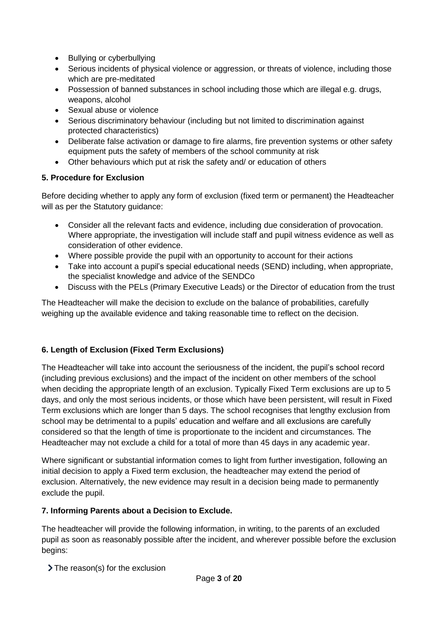- Bullying or cyberbullying
- Serious incidents of physical violence or aggression, or threats of violence, including those which are pre-meditated
- Possession of banned substances in school including those which are illegal e.g. drugs, weapons, alcohol
- Sexual abuse or violence
- Serious discriminatory behaviour (including but not limited to discrimination against protected characteristics)
- Deliberate false activation or damage to fire alarms, fire prevention systems or other safety equipment puts the safety of members of the school community at risk
- Other behaviours which put at risk the safety and/ or education of others

#### **5. Procedure for Exclusion**

Before deciding whether to apply any form of exclusion (fixed term or permanent) the Headteacher will as per the Statutory quidance:

- Consider all the relevant facts and evidence, including due consideration of provocation. Where appropriate, the investigation will include staff and pupil witness evidence as well as consideration of other evidence.
- Where possible provide the pupil with an opportunity to account for their actions
- Take into account a pupil's special educational needs (SEND) including, when appropriate, the specialist knowledge and advice of the SENDCo
- Discuss with the PELs (Primary Executive Leads) or the Director of education from the trust

The Headteacher will make the decision to exclude on the balance of probabilities, carefully weighing up the available evidence and taking reasonable time to reflect on the decision.

#### **6. Length of Exclusion (Fixed Term Exclusions)**

The Headteacher will take into account the seriousness of the incident, the pupil's school record (including previous exclusions) and the impact of the incident on other members of the school when deciding the appropriate length of an exclusion. Typically Fixed Term exclusions are up to 5 days, and only the most serious incidents, or those which have been persistent, will result in Fixed Term exclusions which are longer than 5 days. The school recognises that lengthy exclusion from school may be detrimental to a pupils' education and welfare and all exclusions are carefully considered so that the length of time is proportionate to the incident and circumstances. The Headteacher may not exclude a child for a total of more than 45 days in any academic year.

Where significant or substantial information comes to light from further investigation, following an initial decision to apply a Fixed term exclusion, the headteacher may extend the period of exclusion. Alternatively, the new evidence may result in a decision being made to permanently exclude the pupil.

#### **7. Informing Parents about a Decision to Exclude.**

The headteacher will provide the following information, in writing, to the parents of an excluded pupil as soon as reasonably possible after the incident, and wherever possible before the exclusion begins:

> The reason(s) for the exclusion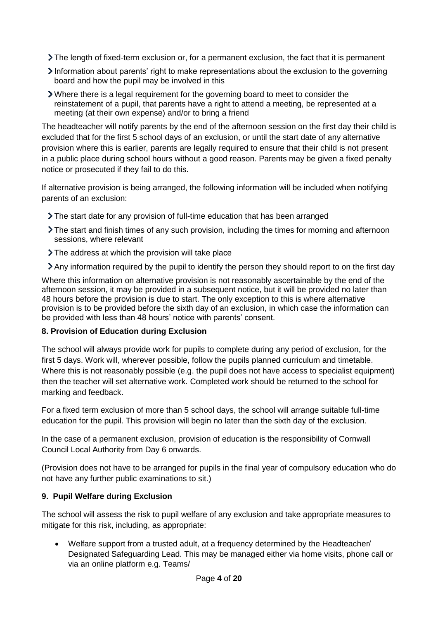- The length of fixed-term exclusion or, for a permanent exclusion, the fact that it is permanent
- $\geq$  Information about parents' right to make representations about the exclusion to the governing board and how the pupil may be involved in this
- Where there is a legal requirement for the governing board to meet to consider the reinstatement of a pupil, that parents have a right to attend a meeting, be represented at a meeting (at their own expense) and/or to bring a friend

The headteacher will notify parents by the end of the afternoon session on the first day their child is excluded that for the first 5 school days of an exclusion, or until the start date of any alternative provision where this is earlier, parents are legally required to ensure that their child is not present in a public place during school hours without a good reason. Parents may be given a fixed penalty notice or prosecuted if they fail to do this.

If alternative provision is being arranged, the following information will be included when notifying parents of an exclusion:

- The start date for any provision of full-time education that has been arranged
- The start and finish times of any such provision, including the times for morning and afternoon sessions, where relevant
- > The address at which the provision will take place
- Any information required by the pupil to identify the person they should report to on the first day

Where this information on alternative provision is not reasonably ascertainable by the end of the afternoon session, it may be provided in a subsequent notice, but it will be provided no later than 48 hours before the provision is due to start. The only exception to this is where alternative provision is to be provided before the sixth day of an exclusion, in which case the information can be provided with less than 48 hours' notice with parents' consent.

#### **8. Provision of Education during Exclusion**

The school will always provide work for pupils to complete during any period of exclusion, for the first 5 days. Work will, wherever possible, follow the pupils planned curriculum and timetable. Where this is not reasonably possible (e.g. the pupil does not have access to specialist equipment) then the teacher will set alternative work. Completed work should be returned to the school for marking and feedback.

For a fixed term exclusion of more than 5 school days, the school will arrange suitable full-time education for the pupil. This provision will begin no later than the sixth day of the exclusion.

In the case of a permanent exclusion, provision of education is the responsibility of Cornwall Council Local Authority from Day 6 onwards.

(Provision does not have to be arranged for pupils in the final year of compulsory education who do not have any further public examinations to sit.)

#### **9. Pupil Welfare during Exclusion**

The school will assess the risk to pupil welfare of any exclusion and take appropriate measures to mitigate for this risk, including, as appropriate:

 Welfare support from a trusted adult, at a frequency determined by the Headteacher/ Designated Safeguarding Lead. This may be managed either via home visits, phone call or via an online platform e.g. Teams/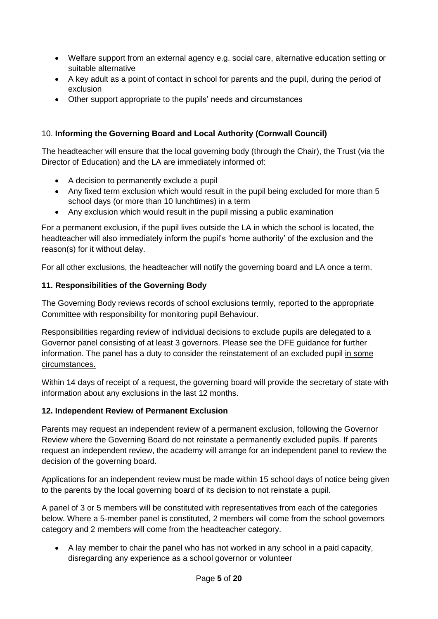- Welfare support from an external agency e.g. social care, alternative education setting or suitable alternative
- A key adult as a point of contact in school for parents and the pupil, during the period of exclusion
- Other support appropriate to the pupils' needs and circumstances

# 10. **Informing the Governing Board and Local Authority (Cornwall Council)**

The headteacher will ensure that the local governing body (through the Chair), the Trust (via the Director of Education) and the LA are immediately informed of:

- A decision to permanently exclude a pupil
- Any fixed term exclusion which would result in the pupil being excluded for more than 5 school days (or more than 10 lunchtimes) in a term
- Any exclusion which would result in the pupil missing a public examination

For a permanent exclusion, if the pupil lives outside the LA in which the school is located, the headteacher will also immediately inform the pupil's 'home authority' of the exclusion and the reason(s) for it without delay.

For all other exclusions, the headteacher will notify the governing board and LA once a term.

# **11. Responsibilities of the Governing Body**

The Governing Body reviews records of school exclusions termly, reported to the appropriate Committee with responsibility for monitoring pupil Behaviour.

Responsibilities regarding review of individual decisions to exclude pupils are delegated to a Governor panel consisting of at least 3 governors. Please see the DFE guidance for further information. The panel has a duty to consider the reinstatement of an excluded pupil in some circumstances.

Within 14 days of receipt of a request, the governing board will provide the secretary of state with information about any exclusions in the last 12 months.

#### **12. Independent Review of Permanent Exclusion**

Parents may request an independent review of a permanent exclusion, following the Governor Review where the Governing Board do not reinstate a permanently excluded pupils. If parents request an independent review, the academy will arrange for an independent panel to review the decision of the governing board.

Applications for an independent review must be made within 15 school days of notice being given to the parents by the local governing board of its decision to not reinstate a pupil.

A panel of 3 or 5 members will be constituted with representatives from each of the categories below. Where a 5-member panel is constituted, 2 members will come from the school governors category and 2 members will come from the headteacher category.

 A lay member to chair the panel who has not worked in any school in a paid capacity, disregarding any experience as a school governor or volunteer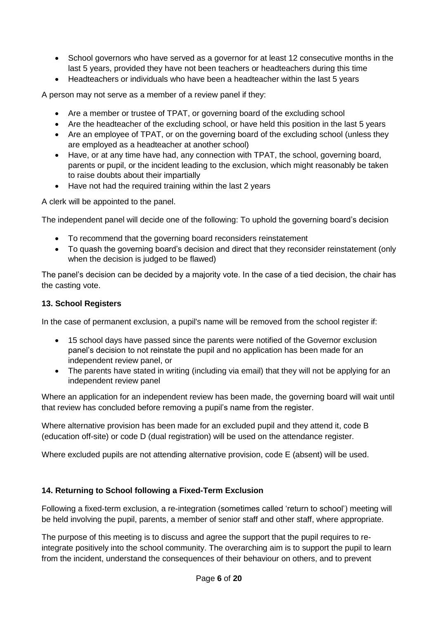- School governors who have served as a governor for at least 12 consecutive months in the last 5 years, provided they have not been teachers or headteachers during this time
- Headteachers or individuals who have been a headteacher within the last 5 years

A person may not serve as a member of a review panel if they:

- Are a member or trustee of TPAT, or governing board of the excluding school
- Are the headteacher of the excluding school, or have held this position in the last 5 years
- Are an employee of TPAT, or on the governing board of the excluding school (unless they are employed as a headteacher at another school)
- Have, or at any time have had, any connection with TPAT, the school, governing board, parents or pupil, or the incident leading to the exclusion, which might reasonably be taken to raise doubts about their impartially
- Have not had the required training within the last 2 years

A clerk will be appointed to the panel.

The independent panel will decide one of the following: To uphold the governing board's decision

- To recommend that the governing board reconsiders reinstatement
- To quash the governing board's decision and direct that they reconsider reinstatement (only when the decision is judged to be flawed)

The panel's decision can be decided by a majority vote. In the case of a tied decision, the chair has the casting vote.

#### **13. School Registers**

In the case of permanent exclusion, a pupil's name will be removed from the school register if:

- 15 school days have passed since the parents were notified of the Governor exclusion panel's decision to not reinstate the pupil and no application has been made for an independent review panel, or
- The parents have stated in writing (including via email) that they will not be applying for an independent review panel

Where an application for an independent review has been made, the governing board will wait until that review has concluded before removing a pupil's name from the register.

Where alternative provision has been made for an excluded pupil and they attend it, code B (education off-site) or code D (dual registration) will be used on the attendance register.

Where excluded pupils are not attending alternative provision, code E (absent) will be used.

#### **14. Returning to School following a Fixed-Term Exclusion**

Following a fixed-term exclusion, a re-integration (sometimes called 'return to school') meeting will be held involving the pupil, parents, a member of senior staff and other staff, where appropriate.

The purpose of this meeting is to discuss and agree the support that the pupil requires to reintegrate positively into the school community. The overarching aim is to support the pupil to learn from the incident, understand the consequences of their behaviour on others, and to prevent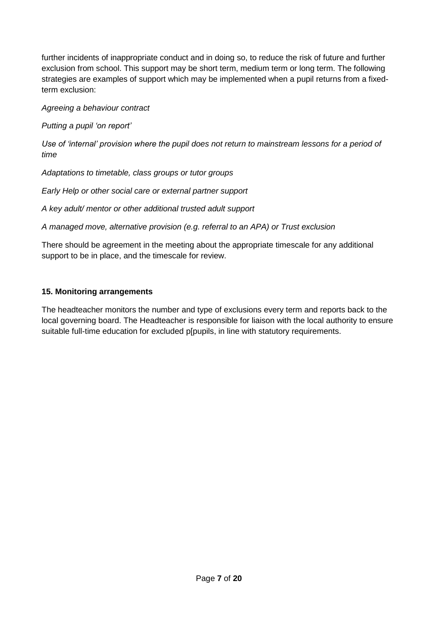further incidents of inappropriate conduct and in doing so, to reduce the risk of future and further exclusion from school. This support may be short term, medium term or long term. The following strategies are examples of support which may be implemented when a pupil returns from a fixedterm exclusion:

*Agreeing a behaviour contract*

*Putting a pupil 'on report'*

*Use of 'internal' provision where the pupil does not return to mainstream lessons for a period of time*

*Adaptations to timetable, class groups or tutor groups*

*Early Help or other social care or external partner support*

*A key adult/ mentor or other additional trusted adult support*

*A managed move, alternative provision (e.g. referral to an APA) or Trust exclusion*

There should be agreement in the meeting about the appropriate timescale for any additional support to be in place, and the timescale for review.

#### **15. Monitoring arrangements**

The headteacher monitors the number and type of exclusions every term and reports back to the local governing board. The Headteacher is responsible for liaison with the local authority to ensure suitable full-time education for excluded p[pupils, in line with statutory requirements.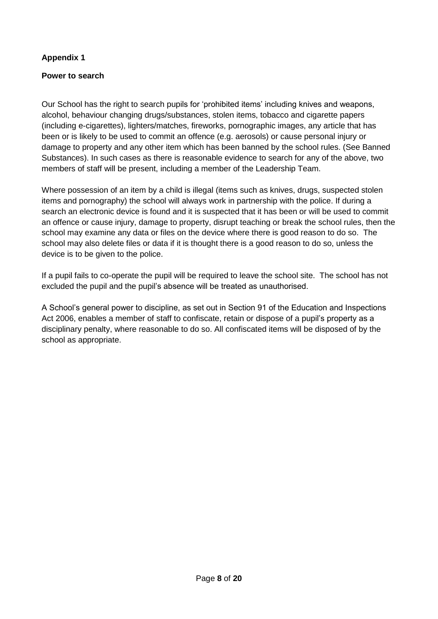#### **Appendix 1**

#### **Power to search**

Our School has the right to search pupils for 'prohibited items' including knives and weapons, alcohol, behaviour changing drugs/substances, stolen items, tobacco and cigarette papers (including e-cigarettes), lighters/matches, fireworks, pornographic images, any article that has been or is likely to be used to commit an offence (e.g. aerosols) or cause personal injury or damage to property and any other item which has been banned by the school rules. (See Banned Substances). In such cases as there is reasonable evidence to search for any of the above, two members of staff will be present, including a member of the Leadership Team.

Where possession of an item by a child is illegal (items such as knives, drugs, suspected stolen items and pornography) the school will always work in partnership with the police. If during a search an electronic device is found and it is suspected that it has been or will be used to commit an offence or cause injury, damage to property, disrupt teaching or break the school rules, then the school may examine any data or files on the device where there is good reason to do so. The school may also delete files or data if it is thought there is a good reason to do so, unless the device is to be given to the police.

If a pupil fails to co-operate the pupil will be required to leave the school site. The school has not excluded the pupil and the pupil's absence will be treated as unauthorised.

A School's general power to discipline, as set out in Section 91 of the Education and Inspections Act 2006, enables a member of staff to confiscate, retain or dispose of a pupil's property as a disciplinary penalty, where reasonable to do so. All confiscated items will be disposed of by the school as appropriate.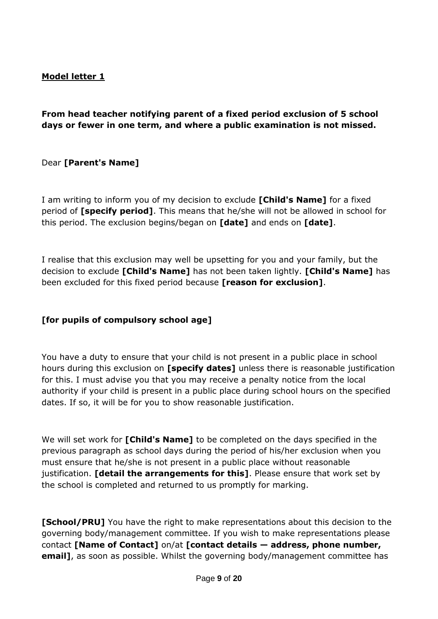# **Model letter 1**

# **From head teacher notifying parent of a fixed period exclusion of 5 school days or fewer in one term, and where a public examination is not missed.**

Dear **[Parent's Name]**

I am writing to inform you of my decision to exclude **[Child's Name]** for a fixed period of **[specify period]**. This means that he/she will not be allowed in school for this period. The exclusion begins/began on **[date]** and ends on **[date]**.

I realise that this exclusion may well be upsetting for you and your family, but the decision to exclude **[Child's Name]** has not been taken lightly. **[Child's Name]** has been excluded for this fixed period because **[reason for exclusion]**.

#### **[for pupils of compulsory school age]**

You have a duty to ensure that your child is not present in a public place in school hours during this exclusion on **[specify dates]** unless there is reasonable justification for this. I must advise you that you may receive a penalty notice from the local authority if your child is present in a public place during school hours on the specified dates. If so, it will be for you to show reasonable justification.

We will set work for **[Child's Name]** to be completed on the days specified in the previous paragraph as school days during the period of his/her exclusion when you must ensure that he/she is not present in a public place without reasonable justification. **[detail the arrangements for this]**. Please ensure that work set by the school is completed and returned to us promptly for marking.

**[School/PRU]** You have the right to make representations about this decision to the governing body/management committee. If you wish to make representations please contact **[Name of Contact]** on/at **[contact details — address, phone number, email]**, as soon as possible. Whilst the governing body/management committee has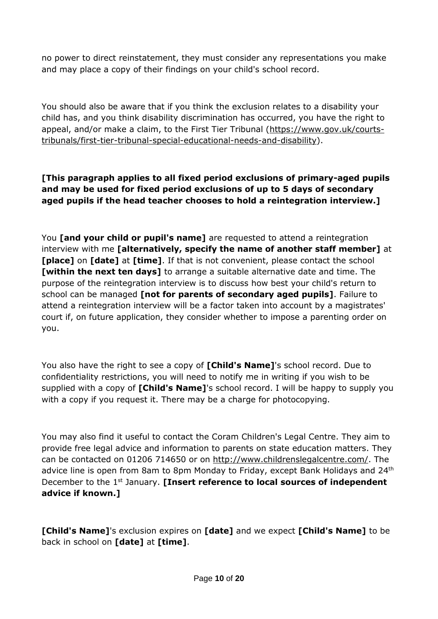no power to direct reinstatement, they must consider any representations you make and may place a copy of their findings on your child's school record.

You should also be aware that if you think the exclusion relates to a disability your child has, and you think disability discrimination has occurred, you have the right to appeal, and/or make a claim, to the First Tier Tribunal [\(https://www.gov.uk/courts](https://www.gov.uk/courts-tribunals/first-tier-tribunal-special-educational-needs-and-disability)[tribunals/first-tier-tribunal-special-educational-needs-and-disability\)](https://www.gov.uk/courts-tribunals/first-tier-tribunal-special-educational-needs-and-disability).

# **[This paragraph applies to all fixed period exclusions of primary-aged pupils and may be used for fixed period exclusions of up to 5 days of secondary aged pupils if the head teacher chooses to hold a reintegration interview.]**

You **[and your child or pupil's name]** are requested to attend a reintegration interview with me **[alternatively, specify the name of another staff member]** at **[place]** on **[date]** at **[time]**. If that is not convenient, please contact the school **[within the next ten days]** to arrange a suitable alternative date and time. The purpose of the reintegration interview is to discuss how best your child's return to school can be managed **[not for parents of secondary aged pupils]**. Failure to attend a reintegration interview will be a factor taken into account by a magistrates' court if, on future application, they consider whether to impose a parenting order on you.

You also have the right to see a copy of **[Child's Name]**'s school record. Due to confidentiality restrictions, you will need to notify me in writing if you wish to be supplied with a copy of **[Child's Name]**'s school record. I will be happy to supply you with a copy if you request it. There may be a charge for photocopying.

You may also find it useful to contact the Coram Children's Legal Centre. They aim to provide free legal advice and information to parents on state education matters. They can be contacted on 01206 714650 or on [http://www.childrenslegalcentre.com/.](http://www.childrenslegalcentre.com/) The advice line is open from 8am to 8pm Monday to Friday, except Bank Holidays and 24<sup>th</sup> December to the 1st January. **[Insert reference to local sources of independent advice if known.]**

**[Child's Name]**'s exclusion expires on **[date]** and we expect **[Child's Name]** to be back in school on **[date]** at **[time]**.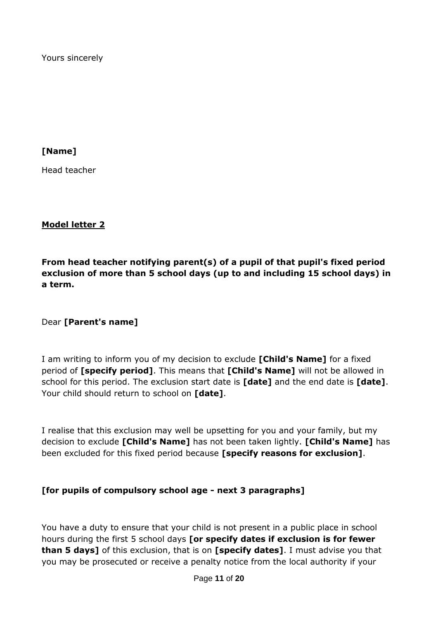Yours sincerely

**[Name]**

Head teacher

#### **Model letter 2**

**From head teacher notifying parent(s) of a pupil of that pupil's fixed period exclusion of more than 5 school days (up to and including 15 school days) in a term.**

Dear **[Parent's name]**

I am writing to inform you of my decision to exclude **[Child's Name]** for a fixed period of **[specify period]**. This means that **[Child's Name]** will not be allowed in school for this period. The exclusion start date is **[date]** and the end date is **[date]**. Your child should return to school on **[date]**.

I realise that this exclusion may well be upsetting for you and your family, but my decision to exclude **[Child's Name]** has not been taken lightly. **[Child's Name]** has been excluded for this fixed period because **[specify reasons for exclusion]**.

#### **[for pupils of compulsory school age - next 3 paragraphs]**

You have a duty to ensure that your child is not present in a public place in school hours during the first 5 school days **[or specify dates if exclusion is for fewer than 5 days]** of this exclusion, that is on **[specify dates]**. I must advise you that you may be prosecuted or receive a penalty notice from the local authority if your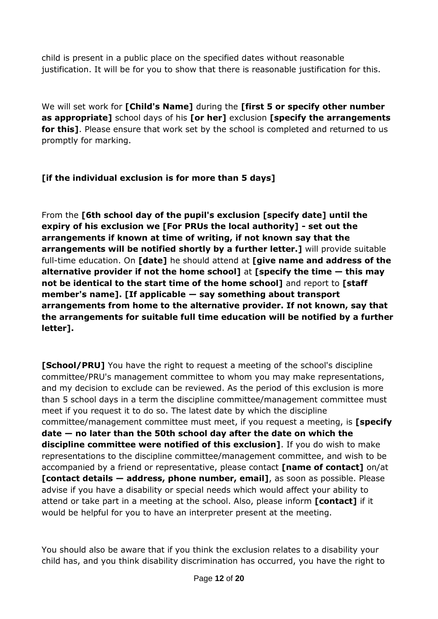child is present in a public place on the specified dates without reasonable justification. It will be for you to show that there is reasonable justification for this.

We will set work for **[Child's Name]** during the **[first 5 or specify other number as appropriate]** school days of his **[or her]** exclusion **[specify the arrangements for this]**. Please ensure that work set by the school is completed and returned to us promptly for marking.

# **[if the individual exclusion is for more than 5 days]**

From the **[6th school day of the pupil's exclusion [specify date] until the expiry of his exclusion we [For PRUs the local authority] - set out the arrangements if known at time of writing, if not known say that the arrangements will be notified shortly by a further letter.]** will provide suitable full-time education. On **[date]** he should attend at **[give name and address of the alternative provider if not the home school] at [specify the time – this may not be identical to the start time of the home school]** and report to **[staff member's name]. [If applicable — say something about transport arrangements from home to the alternative provider. If not known, say that the arrangements for suitable full time education will be notified by a further letter].**

**[School/PRU]** You have the right to request a meeting of the school's discipline committee/PRU's management committee to whom you may make representations, and my decision to exclude can be reviewed. As the period of this exclusion is more than 5 school days in a term the discipline committee/management committee must meet if you request it to do so. The latest date by which the discipline committee/management committee must meet, if you request a meeting, is **[specify date — no later than the 50th school day after the date on which the discipline committee were notified of this exclusion]**. If you do wish to make representations to the discipline committee/management committee, and wish to be accompanied by a friend or representative, please contact **[name of contact]** on/at **[contact details — address, phone number, email]**, as soon as possible. Please advise if you have a disability or special needs which would affect your ability to attend or take part in a meeting at the school. Also, please inform **[contact]** if it would be helpful for you to have an interpreter present at the meeting.

You should also be aware that if you think the exclusion relates to a disability your child has, and you think disability discrimination has occurred, you have the right to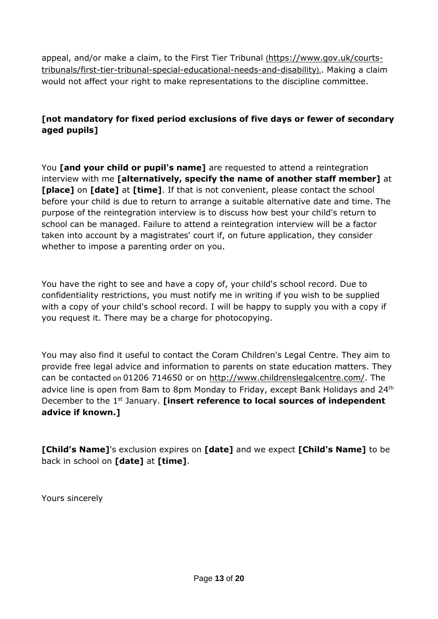appeal, and/or make a claim, to the First Tier Tribunal ([https://www.gov.uk/courts](https://www.gov.uk/courts-tribunals/first-tier-tribunal-special-educational-needs-and-disability)[tribunals/first-tier-tribunal-special-educational-needs-and-disability](https://www.gov.uk/courts-tribunals/first-tier-tribunal-special-educational-needs-and-disability)).. Making a claim would not affect your right to make representations to the discipline committee.

# **[not mandatory for fixed period exclusions of five days or fewer of secondary aged pupils]**

You **[and your child or pupil's name]** are requested to attend a reintegration interview with me **[alternatively, specify the name of another staff member]** at **[place]** on **[date]** at **[time]**. If that is not convenient, please contact the school before your child is due to return to arrange a suitable alternative date and time. The purpose of the reintegration interview is to discuss how best your child's return to school can be managed. Failure to attend a reintegration interview will be a factor taken into account by a magistrates' court if, on future application, they consider whether to impose a parenting order on you.

You have the right to see and have a copy of, your child's school record. Due to confidentiality restrictions, you must notify me in writing if you wish to be supplied with a copy of your child's school record. I will be happy to supply you with a copy if you request it. There may be a charge for photocopying.

You may also find it useful to contact the Coram Children's Legal Centre. They aim to provide free legal advice and information to parents on state education matters. They can be contacted on 01206 714650 or on [http://www.childrenslegalcentre.com/.](http://www.childrenslegalcentre.com/) The advice line is open from 8am to 8pm Monday to Friday, except Bank Holidays and 24<sup>th</sup> December to the 1st January. **[insert reference to local sources of independent advice if known.]**

**[Child's Name]**'s exclusion expires on **[date]** and we expect **[Child's Name]** to be back in school on **[date]** at **[time]**.

Yours sincerely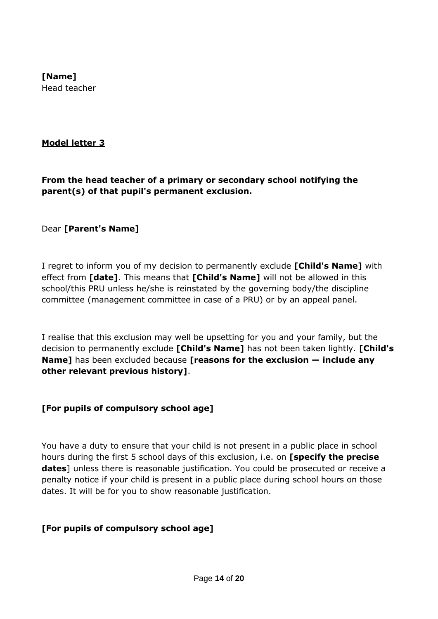# **[Name]** Head teacher

#### **Model letter 3**

**From the head teacher of a primary or secondary school notifying the parent(s) of that pupil's permanent exclusion.**

Dear **[Parent's Name]**

I regret to inform you of my decision to permanently exclude **[Child's Name]** with effect from **[date]**. This means that **[Child's Name]** will not be allowed in this school/this PRU unless he/she is reinstated by the governing body/the discipline committee (management committee in case of a PRU) or by an appeal panel.

I realise that this exclusion may well be upsetting for you and your family, but the decision to permanently exclude **[Child's Name]** has not been taken lightly. **[Child's Name]** has been excluded because **[reasons for the exclusion — include any other relevant previous history]**.

#### **[For pupils of compulsory school age]**

You have a duty to ensure that your child is not present in a public place in school hours during the first 5 school days of this exclusion, i.e. on **[specify the precise dates**] unless there is reasonable justification. You could be prosecuted or receive a penalty notice if your child is present in a public place during school hours on those dates. It will be for you to show reasonable justification.

#### **[For pupils of compulsory school age]**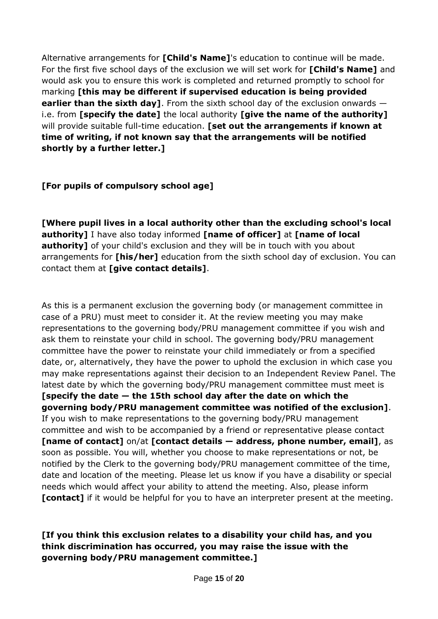Alternative arrangements for **[Child's Name]**'s education to continue will be made. For the first five school days of the exclusion we will set work for **[Child's Name]** and would ask you to ensure this work is completed and returned promptly to school for marking **[this may be different if supervised education is being provided earlier than the sixth day]**. From the sixth school day of the exclusion onwards i.e. from **[specify the date]** the local authority **[give the name of the authority]** will provide suitable full-time education. **[set out the arrangements if known at time of writing, if not known say that the arrangements will be notified shortly by a further letter.]**

# **[For pupils of compulsory school age]**

**[Where pupil lives in a local authority other than the excluding school's local authority]** I have also today informed **[name of officer]** at **[name of local authority]** of your child's exclusion and they will be in touch with you about arrangements for **[his/her]** education from the sixth school day of exclusion. You can contact them at **[give contact details]**.

As this is a permanent exclusion the governing body (or management committee in case of a PRU) must meet to consider it. At the review meeting you may make representations to the governing body/PRU management committee if you wish and ask them to reinstate your child in school. The governing body/PRU management committee have the power to reinstate your child immediately or from a specified date, or, alternatively, they have the power to uphold the exclusion in which case you may make representations against their decision to an Independent Review Panel. The latest date by which the governing body/PRU management committee must meet is **[specify the date — the 15th school day after the date on which the governing body/PRU management committee was notified of the exclusion]**. If you wish to make representations to the governing body/PRU management committee and wish to be accompanied by a friend or representative please contact **[name of contact]** on/at **[contact details — address, phone number, email]**, as soon as possible. You will, whether you choose to make representations or not, be notified by the Clerk to the governing body/PRU management committee of the time, date and location of the meeting. Please let us know if you have a disability or special needs which would affect your ability to attend the meeting. Also, please inform **[contact]** if it would be helpful for you to have an interpreter present at the meeting.

# **[If you think this exclusion relates to a disability your child has, and you think discrimination has occurred, you may raise the issue with the governing body/PRU management committee.]**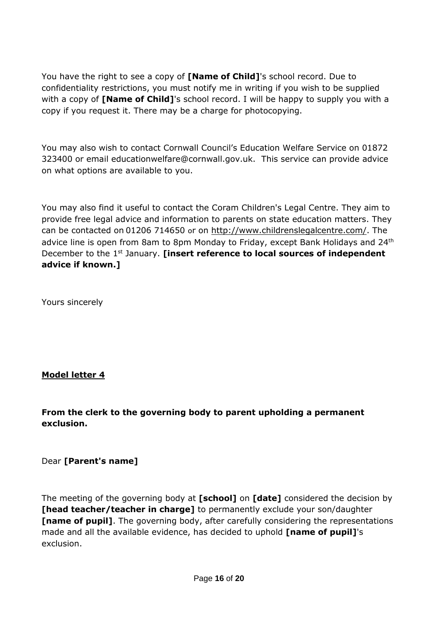You have the right to see a copy of **[Name of Child]**'s school record. Due to confidentiality restrictions, you must notify me in writing if you wish to be supplied with a copy of **[Name of Child]**'s school record. I will be happy to supply you with a copy if you request it. There may be a charge for photocopying.

You may also wish to contact Cornwall Council's Education Welfare Service on 01872 323400 or email educationwelfare@cornwall.gov.uk. This service can provide advice on what options are available to you.

You may also find it useful to contact the Coram Children's Legal Centre. They aim to provide free legal advice and information to parents on state education matters. They can be contacted on 01206 714650 or on [http://www.childrenslegalcentre.com/.](http://www.childrenslegalcentre.com/) The advice line is open from 8am to 8pm Monday to Friday, except Bank Holidays and 24<sup>th</sup> December to the 1st January. **[insert reference to local sources of independent advice if known.]**

Yours sincerely

# **Model letter 4**

**From the clerk to the governing body to parent upholding a permanent exclusion.**

Dear **[Parent's name]**

The meeting of the governing body at **[school]** on **[date]** considered the decision by **[head teacher/teacher in charge]** to permanently exclude your son/daughter **[name of pupil]**. The governing body, after carefully considering the representations made and all the available evidence, has decided to uphold **[name of pupil]**'s exclusion.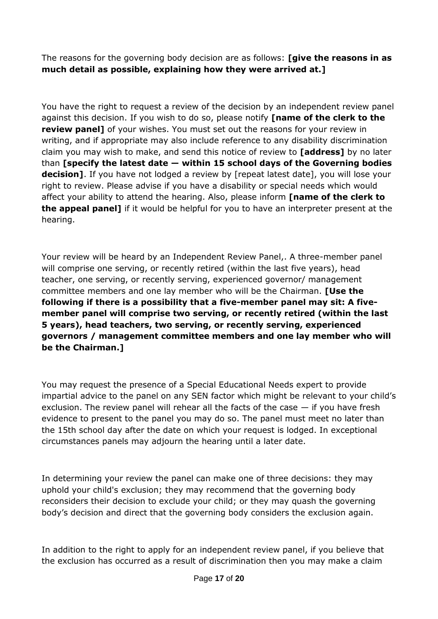The reasons for the governing body decision are as follows: **[give the reasons in as much detail as possible, explaining how they were arrived at.]**

You have the right to request a review of the decision by an independent review panel against this decision. If you wish to do so, please notify **[name of the clerk to the review panel]** of your wishes. You must set out the reasons for your review in writing, and if appropriate may also include reference to any disability discrimination claim you may wish to make, and send this notice of review to **[address]** by no later than **[specify the latest date — within 15 school days of the Governing bodies decision]**. If you have not lodged a review by [repeat latest date], you will lose your right to review. Please advise if you have a disability or special needs which would affect your ability to attend the hearing. Also, please inform **[name of the clerk to the appeal panel]** if it would be helpful for you to have an interpreter present at the hearing.

Your review will be heard by an Independent Review Panel,. A three-member panel will comprise one serving, or recently retired (within the last five years), head teacher, one serving, or recently serving, experienced governor/ management committee members and one lay member who will be the Chairman. **[Use the following if there is a possibility that a five-member panel may sit: A fivemember panel will comprise two serving, or recently retired (within the last 5 years), head teachers, two serving, or recently serving, experienced governors / management committee members and one lay member who will be the Chairman.]**

You may request the presence of a Special Educational Needs expert to provide impartial advice to the panel on any SEN factor which might be relevant to your child's exclusion. The review panel will rehear all the facts of the case  $-$  if you have fresh evidence to present to the panel you may do so. The panel must meet no later than the 15th school day after the date on which your request is lodged. In exceptional circumstances panels may adjourn the hearing until a later date.

In determining your review the panel can make one of three decisions: they may uphold your child's exclusion; they may recommend that the governing body reconsiders their decision to exclude your child; or they may quash the governing body's decision and direct that the governing body considers the exclusion again.

In addition to the right to apply for an independent review panel, if you believe that the exclusion has occurred as a result of discrimination then you may make a claim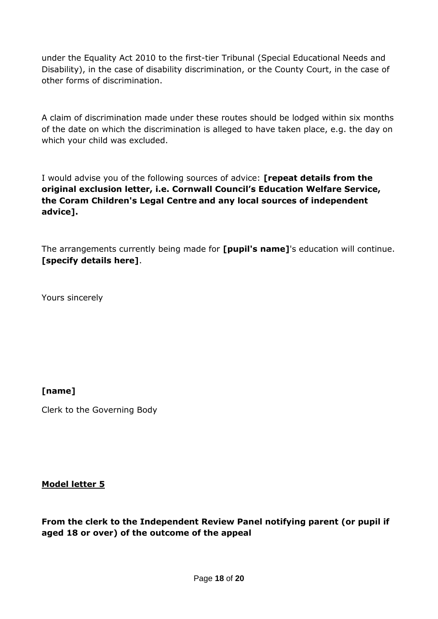under the Equality Act 2010 to the first-tier Tribunal (Special Educational Needs and Disability), in the case of disability discrimination, or the County Court, in the case of other forms of discrimination.

A claim of discrimination made under these routes should be lodged within six months of the date on which the discrimination is alleged to have taken place, e.g. the day on which your child was excluded.

I would advise you of the following sources of advice: **[repeat details from the original exclusion letter, i.e. Cornwall Council's Education Welfare Service, the Coram Children's Legal Centre and any local sources of independent advice].**

The arrangements currently being made for **[pupil's name]**'s education will continue. **[specify details here]**.

Yours sincerely

#### **[name]**

Clerk to the Governing Body

#### **Model letter 5**

**From the clerk to the Independent Review Panel notifying parent (or pupil if aged 18 or over) of the outcome of the appeal**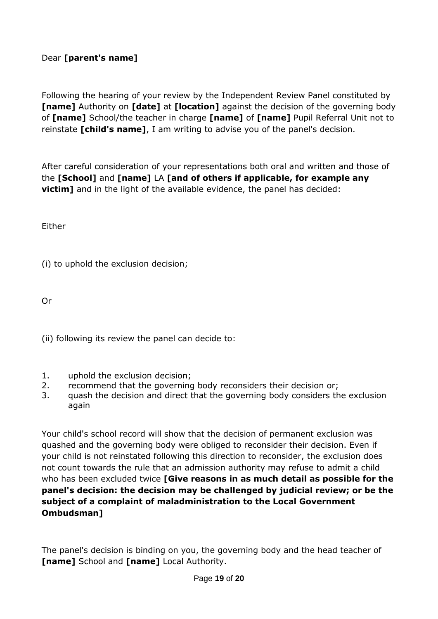# Dear **[parent's name]**

Following the hearing of your review by the Independent Review Panel constituted by **[name]** Authority on **[date]** at **[location]** against the decision of the governing body of **[name]** School/the teacher in charge **[name]** of **[name]** Pupil Referral Unit not to reinstate **[child's name]**, I am writing to advise you of the panel's decision.

After careful consideration of your representations both oral and written and those of the **[School]** and **[name]** LA **[and of others if applicable, for example any victim]** and in the light of the available evidence, the panel has decided:

Either

(i) to uphold the exclusion decision;

Or

(ii) following its review the panel can decide to:

- 1. uphold the exclusion decision;
- 2. recommend that the governing body reconsiders their decision or;
- 3. quash the decision and direct that the governing body considers the exclusion again

Your child's school record will show that the decision of permanent exclusion was quashed and the governing body were obliged to reconsider their decision. Even if your child is not reinstated following this direction to reconsider, the exclusion does not count towards the rule that an admission authority may refuse to admit a child who has been excluded twice **[Give reasons in as much detail as possible for the panel's decision: the decision may be challenged by judicial review; or be the subject of a complaint of maladministration to the Local Government Ombudsman]**

The panel's decision is binding on you, the governing body and the head teacher of **[name]** School and **[name]** Local Authority.